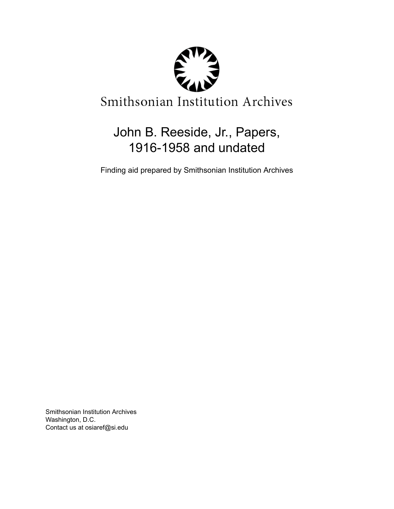

# John B. Reeside, Jr., Papers, 1916-1958 and undated

Finding aid prepared by Smithsonian Institution Archives

Smithsonian Institution Archives Washington, D.C. Contact us at osiaref@si.edu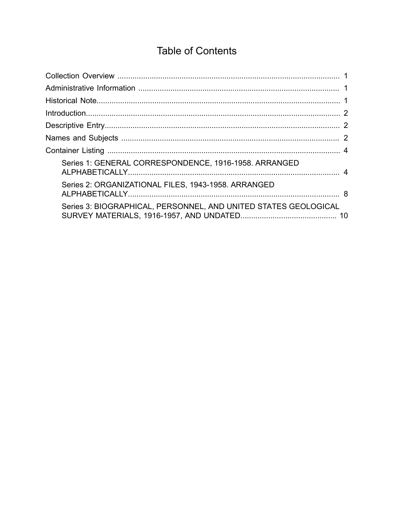# **Table of Contents**

<span id="page-1-0"></span>

| Series 1: GENERAL CORRESPONDENCE, 1916-1958. ARRANGED           |  |
|-----------------------------------------------------------------|--|
| Series 2: ORGANIZATIONAL FILES, 1943-1958. ARRANGED             |  |
| Series 3: BIOGRAPHICAL, PERSONNEL, AND UNITED STATES GEOLOGICAL |  |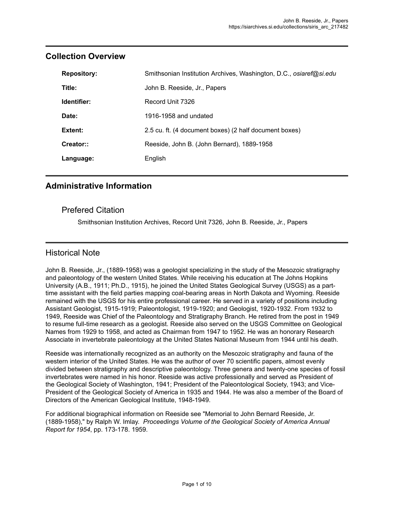| <b>Repository:</b> | Smithsonian Institution Archives, Washington, D.C., osiaref@si.edu |
|--------------------|--------------------------------------------------------------------|
| Title:             | John B. Reeside, Jr., Papers                                       |
| Identifier:        | Record Unit 7326                                                   |
| Date:              | 1916-1958 and undated                                              |
| Extent:            | 2.5 cu. ft. (4 document boxes) (2 half document boxes)             |
| Creator::          | Reeside, John B. (John Bernard), 1889-1958                         |
| Language:          | English                                                            |

#### <span id="page-2-0"></span>**Collection Overview**

#### <span id="page-2-1"></span>**Administrative Information**

#### Prefered Citation

Smithsonian Institution Archives, Record Unit 7326, John B. Reeside, Jr., Papers

#### <span id="page-2-2"></span>Historical Note

John B. Reeside, Jr., (1889-1958) was a geologist specializing in the study of the Mesozoic stratigraphy and paleontology of the western United States. While receiving his education at The Johns Hopkins University (A.B., 1911; Ph.D., 1915), he joined the United States Geological Survey (USGS) as a parttime assistant with the field parties mapping coal-bearing areas in North Dakota and Wyoming. Reeside remained with the USGS for his entire professional career. He served in a variety of positions including Assistant Geologist, 1915-1919; Paleontologist, 1919-1920; and Geologist, 1920-1932. From 1932 to 1949, Reeside was Chief of the Paleontology and Stratigraphy Branch. He retired from the post in 1949 to resume full-time research as a geologist. Reeside also served on the USGS Committee on Geological Names from 1929 to 1958, and acted as Chairman from 1947 to 1952. He was an honorary Research Associate in invertebrate paleontology at the United States National Museum from 1944 until his death.

Reeside was internationally recognized as an authority on the Mesozoic stratigraphy and fauna of the western interior of the United States. He was the author of over 70 scientific papers, almost evenly divided between stratigraphy and descriptive paleontology. Three genera and twenty-one species of fossil invertebrates were named in his honor. Reeside was active professionally and served as President of the Geological Society of Washington, 1941; President of the Paleontological Society, 1943; and Vice-President of the Geological Society of America in 1935 and 1944. He was also a member of the Board of Directors of the American Geological Institute, 1948-1949.

For additional biographical information on Reeside see "Memorial to John Bernard Reeside, Jr. (1889-1958)," by Ralph W. Imlay. *Proceedings Volume of the Geological Society of America Annual Report for 1954*, pp. 173-178. 1959.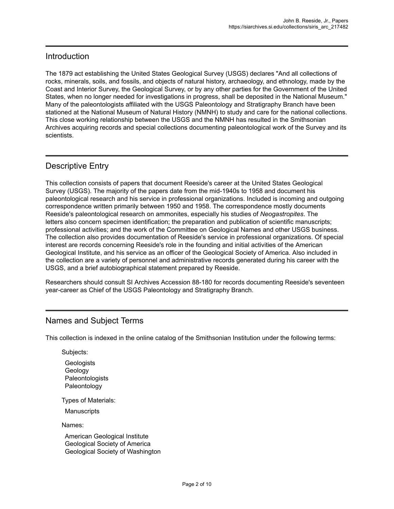#### <span id="page-3-0"></span>Introduction

The 1879 act establishing the United States Geological Survey (USGS) declares "And all collections of rocks, minerals, soils, and fossils, and objects of natural history, archaeology, and ethnology, made by the Coast and Interior Survey, the Geological Survey, or by any other parties for the Government of the United States, when no longer needed for investigations in progress, shall be deposited in the National Museum." Many of the paleontologists affiliated with the USGS Paleontology and Stratigraphy Branch have been stationed at the National Museum of Natural History (NMNH) to study and care for the national collections. This close working relationship between the USGS and the NMNH has resulted in the Smithsonian Archives acquiring records and special collections documenting paleontological work of the Survey and its scientists.

#### <span id="page-3-1"></span>Descriptive Entry

This collection consists of papers that document Reeside's career at the United States Geological Survey (USGS). The majority of the papers date from the mid-1940s to 1958 and document his paleontological research and his service in professional organizations. Included is incoming and outgoing correspondence written primarily between 1950 and 1958. The correspondence mostly documents Reeside's paleontological research on ammonites, especially his studies of *Neogastropites*. The letters also concern specimen identification; the preparation and publication of scientific manuscripts; professional activities; and the work of the Committee on Geological Names and other USGS business. The collection also provides documentation of Reeside's service in professional organizations. Of special interest are records concerning Reeside's role in the founding and initial activities of the American Geological Institute, and his service as an officer of the Geological Society of America. Also included in the collection are a variety of personnel and administrative records generated during his career with the USGS, and a brief autobiographical statement prepared by Reeside.

Researchers should consult SI Archives Accession 88-180 for records documenting Reeside's seventeen year-career as Chief of the USGS Paleontology and Stratigraphy Branch.

#### <span id="page-3-2"></span>Names and Subject Terms

This collection is indexed in the online catalog of the Smithsonian Institution under the following terms:

Subjects:

**Geologists** Geology Paleontologists Paleontology

Types of Materials:

**Manuscripts** 

Names:

American Geological Institute Geological Society of America Geological Society of Washington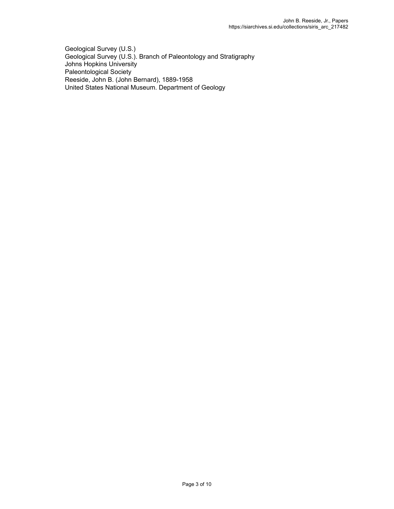Geological Survey (U.S.) Geological Survey (U.S.). Branch of Paleontology and Stratigraphy Johns Hopkins University Paleontological Society Reeside, John B. (John Bernard), 1889-1958 United States National Museum. Department of Geology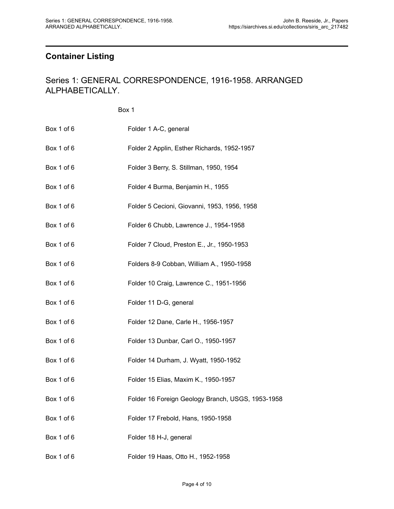## <span id="page-5-0"></span>**Container Listing**

#### <span id="page-5-1"></span>Series 1: GENERAL CORRESPONDENCE, 1916-1958. ARRANGED ALPHABETICALLY.

Box 1

| Box 1 of 6 | Folder 1 A-C, general                             |
|------------|---------------------------------------------------|
| Box 1 of 6 | Folder 2 Applin, Esther Richards, 1952-1957       |
| Box 1 of 6 | Folder 3 Berry, S. Stillman, 1950, 1954           |
| Box 1 of 6 | Folder 4 Burma, Benjamin H., 1955                 |
| Box 1 of 6 | Folder 5 Cecioni, Giovanni, 1953, 1956, 1958      |
| Box 1 of 6 | Folder 6 Chubb, Lawrence J., 1954-1958            |
| Box 1 of 6 | Folder 7 Cloud, Preston E., Jr., 1950-1953        |
| Box 1 of 6 | Folders 8-9 Cobban, William A., 1950-1958         |
| Box 1 of 6 | Folder 10 Craig, Lawrence C., 1951-1956           |
| Box 1 of 6 | Folder 11 D-G, general                            |
| Box 1 of 6 | Folder 12 Dane, Carle H., 1956-1957               |
| Box 1 of 6 | Folder 13 Dunbar, Carl O., 1950-1957              |
| Box 1 of 6 | Folder 14 Durham, J. Wyatt, 1950-1952             |
| Box 1 of 6 | Folder 15 Elias, Maxim K., 1950-1957              |
| Box 1 of 6 | Folder 16 Foreign Geology Branch, USGS, 1953-1958 |
| Box 1 of 6 | Folder 17 Frebold, Hans, 1950-1958                |
| Box 1 of 6 | Folder 18 H-J, general                            |
| Box 1 of 6 | Folder 19 Haas, Otto H., 1952-1958                |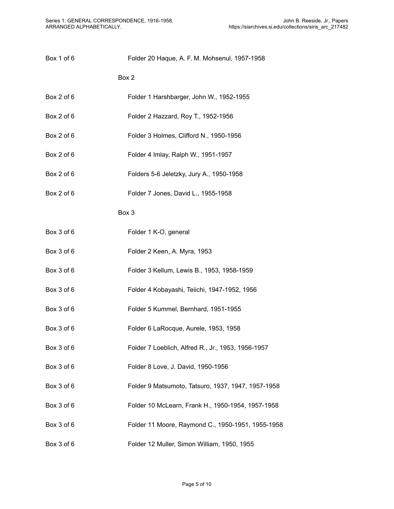| Box 1 of 6 | Folder 20 Haque, A. F. M. Mohsenul, 1957-1958      |
|------------|----------------------------------------------------|
|            | Box 2                                              |
| Box 2 of 6 | Folder 1 Harshbarger, John W., 1952-1955           |
| Box 2 of 6 | Folder 2 Hazzard, Roy T., 1952-1956                |
| Box 2 of 6 | Folder 3 Holmes, Clifford N., 1950-1956            |
| Box 2 of 6 | Folder 4 Imlay, Ralph W., 1951-1957                |
| Box 2 of 6 | Folders 5-6 Jeletzky, Jury A., 1950-1958           |
| Box 2 of 6 | Folder 7 Jones, David L., 1955-1958                |
|            | Box 3                                              |
| Box 3 of 6 | Folder 1 K-O, general                              |
| Box 3 of 6 | Folder 2 Keen, A. Myra, 1953                       |
| Box 3 of 6 | Folder 3 Kellum, Lewis B., 1953, 1958-1959         |
| Box 3 of 6 | Folder 4 Kobayashi, Teiichi, 1947-1952, 1956       |
| Box 3 of 6 | Folder 5 Kummel, Bernhard, 1951-1955               |
| Box 3 of 6 | Folder 6 LaRocque, Aurele, 1953, 1958              |
| Box 3 of 6 | Folder 7 Loeblich, Alfred R., Jr., 1953, 1956-1957 |
| Box 3 of 6 | Folder 8 Love, J. David, 1950-1956                 |
| Box 3 of 6 | Folder 9 Matsumoto, Tatsuro, 1937, 1947, 1957-1958 |
| Box 3 of 6 | Folder 10 McLearn, Frank H., 1950-1954, 1957-1958  |
| Box 3 of 6 | Folder 11 Moore, Raymond C., 1950-1951, 1955-1958  |
| Box 3 of 6 | Folder 12 Muller, Simon William, 1950, 1955        |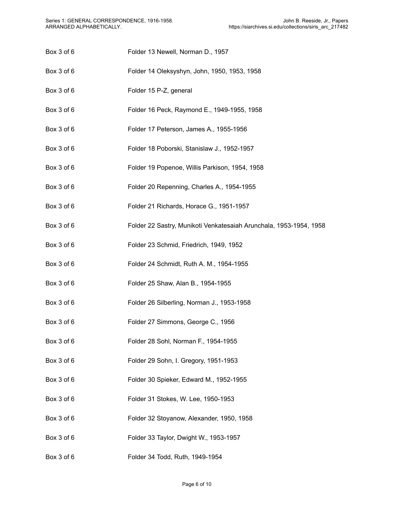- Box 3 of 6 Folder 13 Newell, Norman D., 1957
- Box 3 of 6 Folder 14 Oleksyshyn, John, 1950, 1953, 1958
- Box 3 of 6 Folder 15 P-Z, general
- Box 3 of 6 Folder 16 Peck, Raymond E., 1949-1955, 1958
- Box 3 of 6 Folder 17 Peterson, James A., 1955-1956
- Box 3 of 6 Folder 18 Poborski, Stanislaw J., 1952-1957
- Box 3 of 6 Folder 19 Popenoe, Willis Parkison, 1954, 1958
- Box 3 of 6 Folder 20 Repenning, Charles A., 1954-1955
- Box 3 of 6 Folder 21 Richards, Horace G., 1951-1957
- Box 3 of 6 Folder 22 Sastry, Munikoti Venkatesaiah Arunchala, 1953-1954, 1958
- Box 3 of 6 Folder 23 Schmid, Friedrich, 1949, 1952
- Box 3 of 6 Folder 24 Schmidt, Ruth A. M., 1954-1955
- Box 3 of 6 Folder 25 Shaw, Alan B., 1954-1955
- Box 3 of 6 Folder 26 Silberling, Norman J., 1953-1958
- Box 3 of 6 Folder 27 Simmons, George C., 1956
- Box 3 of 6 Folder 28 Sohl, Norman F., 1954-1955
- Box 3 of 6 Folder 29 Sohn, I. Gregory, 1951-1953
- Box 3 of 6 Folder 30 Spieker, Edward M., 1952-1955
- Box 3 of 6 Folder 31 Stokes, W. Lee, 1950-1953
- Box 3 of 6 Folder 32 Stoyanow, Alexander, 1950, 1958
- Box 3 of 6 Folder 33 Taylor, Dwight W., 1953-1957
- Box 3 of 6 Folder 34 Todd, Ruth, 1949-1954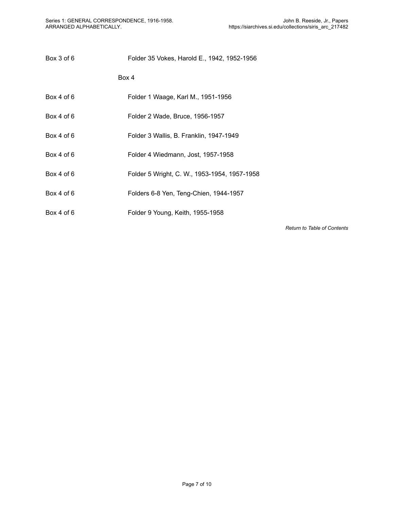| Box 3 of 6 | Folder 35 Vokes, Harold E., 1942, 1952-1956 |
|------------|---------------------------------------------|
|            | Box 4                                       |

- Box 4 of 6 Folder 1 Waage, Karl M., 1951-1956
- Box 4 of 6 Folder 2 Wade, Bruce, 1956-1957
- Box 4 of 6 Folder 3 Wallis, B. Franklin, 1947-1949
- Box 4 of 6 Folder 4 Wiedmann, Jost, 1957-1958
- Box 4 of 6 Folder 5 Wright, C. W., 1953-1954, 1957-1958
- Box 4 of 6 Folders 6-8 Yen, Teng-Chien, 1944-1957
- Box 4 of 6 Folder 9 Young, Keith, 1955-1958

*Return to Table of [Contents](#page-1-0)*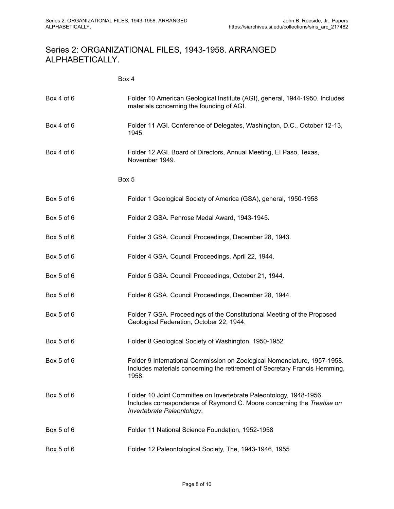### <span id="page-9-0"></span>Series 2: ORGANIZATIONAL FILES, 1943-1958. ARRANGED ALPHABETICALLY.

Box 4

| Box 4 of 6 | Folder 10 American Geological Institute (AGI), general, 1944-1950. Includes<br>materials concerning the founding of AGI.                                                   |
|------------|----------------------------------------------------------------------------------------------------------------------------------------------------------------------------|
| Box 4 of 6 | Folder 11 AGI. Conference of Delegates, Washington, D.C., October 12-13,<br>1945.                                                                                          |
| Box 4 of 6 | Folder 12 AGI. Board of Directors, Annual Meeting, El Paso, Texas,<br>November 1949.                                                                                       |
|            | Box 5                                                                                                                                                                      |
| Box 5 of 6 | Folder 1 Geological Society of America (GSA), general, 1950-1958                                                                                                           |
| Box 5 of 6 | Folder 2 GSA. Penrose Medal Award, 1943-1945.                                                                                                                              |
| Box 5 of 6 | Folder 3 GSA. Council Proceedings, December 28, 1943.                                                                                                                      |
| Box 5 of 6 | Folder 4 GSA. Council Proceedings, April 22, 1944.                                                                                                                         |
| Box 5 of 6 | Folder 5 GSA. Council Proceedings, October 21, 1944.                                                                                                                       |
| Box 5 of 6 | Folder 6 GSA. Council Proceedings, December 28, 1944.                                                                                                                      |
| Box 5 of 6 | Folder 7 GSA. Proceedings of the Constitutional Meeting of the Proposed<br>Geological Federation, October 22, 1944.                                                        |
| Box 5 of 6 | Folder 8 Geological Society of Washington, 1950-1952                                                                                                                       |
| Box 5 of 6 | Folder 9 International Commission on Zoological Nomenclature, 1957-1958.<br>Includes materials concerning the retirement of Secretary Francis Hemming,<br>1958.            |
| Box 5 of 6 | Folder 10 Joint Committee on Invertebrate Paleontology, 1948-1956.<br>Includes correspondence of Raymond C. Moore concerning the Treatise on<br>Invertebrate Paleontology. |
| Box 5 of 6 | Folder 11 National Science Foundation, 1952-1958                                                                                                                           |
| Box 5 of 6 | Folder 12 Paleontological Society, The, 1943-1946, 1955                                                                                                                    |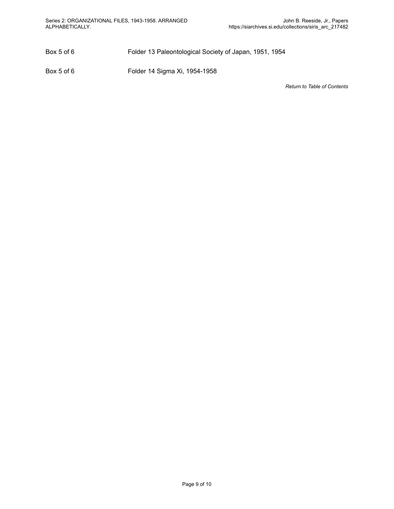Box 5 of 6 Folder 13 Paleontological Society of Japan, 1951, 1954

Box 5 of 6 Folder 14 Sigma Xi, 1954-1958

*Return to Table of [Contents](#page-1-0)*